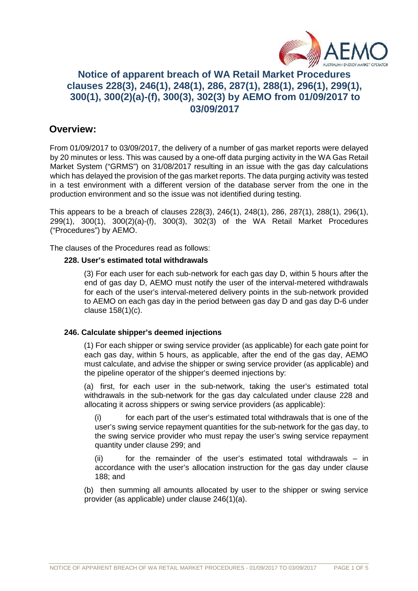

# **Notice of apparent breach of WA Retail Market Procedures clauses 228(3), 246(1), 248(1), 286, 287(1), 288(1), 296(1), 299(1), 300(1), 300(2)(a)-(f), 300(3), 302(3) by AEMO from 01/09/2017 to 03/09/2017**

## **Overview:**

From 01/09/2017 to 03/09/2017, the delivery of a number of gas market reports were delayed by 20 minutes or less. This was caused by a one-off data purging activity in the WA Gas Retail Market System ("GRMS") on 31/08/2017 resulting in an issue with the gas day calculations which has delayed the provision of the gas market reports. The data purging activity was tested in a test environment with a different version of the database server from the one in the production environment and so the issue was not identified during testing.

This appears to be a breach of clauses 228(3), 246(1), 248(1), 286, 287(1), 288(1), 296(1), 299(1), 300(1), 300(2)(a)-(f), 300(3), 302(3) of the WA Retail Market Procedures ("Procedures") by AEMO.

The clauses of the Procedures read as follows:

### **228. User's estimated total withdrawals**

(3) For each user for each sub-network for each gas day D, within 5 hours after the end of gas day D, AEMO must notify the user of the interval-metered withdrawals for each of the user's interval-metered delivery points in the sub-network provided to AEMO on each gas day in the period between gas day D and gas day D-6 under clause 158(1)(c).

### **246. Calculate shipper's deemed injections**

(1) For each shipper or swing service provider (as applicable) for each gate point for each gas day, within 5 hours, as applicable, after the end of the gas day, AEMO must calculate, and advise the shipper or swing service provider (as applicable) and the pipeline operator of the shipper's deemed injections by:

(a) first, for each user in the sub-network, taking the user's estimated total withdrawals in the sub-network for the gas day calculated under clause 228 and allocating it across shippers or swing service providers (as applicable):

(i) for each part of the user's estimated total withdrawals that is one of the user's swing service repayment quantities for the sub-network for the gas day, to the swing service provider who must repay the user's swing service repayment quantity under clause 299; and

(ii) for the remainder of the user's estimated total withdrawals – in accordance with the user's allocation instruction for the gas day under clause 188; and

(b) then summing all amounts allocated by user to the shipper or swing service provider (as applicable) under clause 246(1)(a).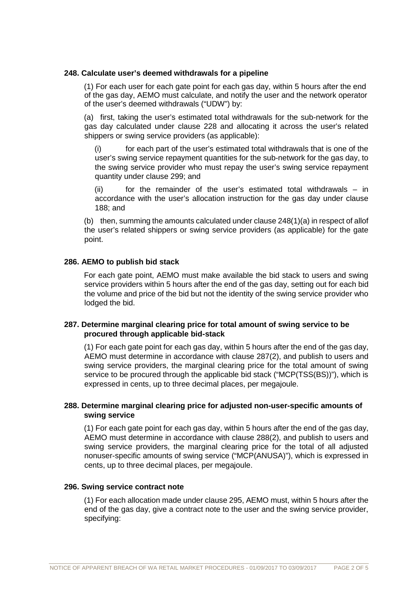#### **248. Calculate user's deemed withdrawals for a pipeline**

(1) For each user for each gate point for each gas day, within 5 hours after the end of the gas day, AEMO must calculate, and notify the user and the network operator of the user's deemed withdrawals ("UDW") by:

(a) first, taking the user's estimated total withdrawals for the sub-network for the gas day calculated under clause 228 and allocating it across the user's related shippers or swing service providers (as applicable):

(i) for each part of the user's estimated total withdrawals that is one of the user's swing service repayment quantities for the sub-network for the gas day, to the swing service provider who must repay the user's swing service repayment quantity under clause 299; and

(ii) for the remainder of the user's estimated total withdrawals – in accordance with the user's allocation instruction for the gas day under clause 188; and

(b) then, summing the amounts calculated under clause  $248(1)(a)$  in respect of allof the user's related shippers or swing service providers (as applicable) for the gate point.

#### **286. AEMO to publish bid stack**

For each gate point, AEMO must make available the bid stack to users and swing service providers within 5 hours after the end of the gas day, setting out for each bid the volume and price of the bid but not the identity of the swing service provider who lodged the bid.

#### **287. Determine marginal clearing price for total amount of swing service to be procured through applicable bid-stack**

(1) For each gate point for each gas day, within 5 hours after the end of the gas day, AEMO must determine in accordance with clause 287(2), and publish to users and swing service providers, the marginal clearing price for the total amount of swing service to be procured through the applicable bid stack ("MCP(TSS(BS))"), which is expressed in cents, up to three decimal places, per megajoule.

### **288. Determine marginal clearing price for adjusted non-user-specific amounts of swing service**

(1) For each gate point for each gas day, within 5 hours after the end of the gas day, AEMO must determine in accordance with clause 288(2), and publish to users and swing service providers, the marginal clearing price for the total of all adjusted nonuser-specific amounts of swing service ("MCP(ANUSA)"), which is expressed in cents, up to three decimal places, per megajoule.

#### **296. Swing service contract note**

(1) For each allocation made under clause 295, AEMO must, within 5 hours after the end of the gas day, give a contract note to the user and the swing service provider, specifying: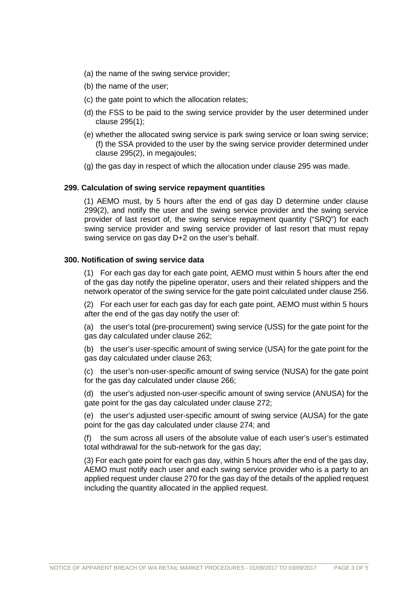- (a) the name of the swing service provider;
- (b) the name of the user;
- (c) the gate point to which the allocation relates;
- (d) the FSS to be paid to the swing service provider by the user determined under clause 295(1);
- (e) whether the allocated swing service is park swing service or loan swing service; (f) the SSA provided to the user by the swing service provider determined under clause 295(2), in megajoules;
- (g) the gas day in respect of which the allocation under clause 295 was made.

#### **299. Calculation of swing service repayment quantities**

(1) AEMO must, by 5 hours after the end of gas day D determine under clause 299(2), and notify the user and the swing service provider and the swing service provider of last resort of, the swing service repayment quantity ("SRQ") for each swing service provider and swing service provider of last resort that must repay swing service on gas day D+2 on the user's behalf.

#### **300. Notification of swing service data**

(1) For each gas day for each gate point, AEMO must within 5 hours after the end of the gas day notify the pipeline operator, users and their related shippers and the network operator of the swing service for the gate point calculated under clause 256.

(2) For each user for each gas day for each gate point, AEMO must within 5 hours after the end of the gas day notify the user of:

(a) the user's total (pre-procurement) swing service (USS) for the gate point for the gas day calculated under clause 262;

(b) the user's user-specific amount of swing service (USA) for the gate point for the gas day calculated under clause 263;

(c) the user's non-user-specific amount of swing service (NUSA) for the gate point for the gas day calculated under clause 266;

(d) the user's adjusted non-user-specific amount of swing service (ANUSA) for the gate point for the gas day calculated under clause 272;

(e) the user's adjusted user-specific amount of swing service (AUSA) for the gate point for the gas day calculated under clause 274; and

(f) the sum across all users of the absolute value of each user's user's estimated total withdrawal for the sub-network for the gas day;

(3) For each gate point for each gas day, within 5 hours after the end of the gas day, AEMO must notify each user and each swing service provider who is a party to an applied request under clause 270 for the gas day of the details of the applied request including the quantity allocated in the applied request.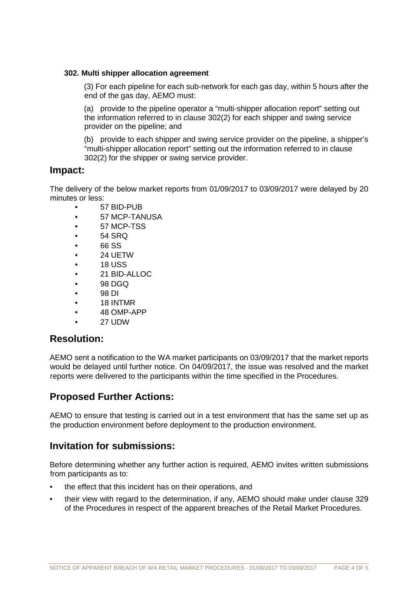#### **302. Multi shipper allocation agreement**

(3) For each pipeline for each sub-network for each gas day, within 5 hours after the end of the gas day, AEMO must:

(a) provide to the pipeline operator a "multi-shipper allocation report" setting out the information referred to in clause 302(2) for each shipper and swing service provider on the pipeline; and

(b) provide to each shipper and swing service provider on the pipeline, a shipper's "multi-shipper allocation report" setting out the information referred to in clause 302(2) for the shipper or swing service provider.

### **Impact:**

The delivery of the below market reports from 01/09/2017 to 03/09/2017 were delayed by 20 minutes or less:

- 57 BID-PUB
- 57 MCP-TANUSA
- 57 MCP-TSS
- $•$  54 SRQ
- 66 SS
- 24 UETW
- 18 USS
- $\bullet$  21 BID-ALLOC
- 98 DGQ
- 98 DI
- 18 INTMR
- 48 OMP-APP
- 27 UDW

## **Resolution:**

AEMO sent a notification to the WA market participants on 03/09/2017 that the market reports would be delayed until further notice. On 04/09/2017, the issue was resolved and the market reports were delivered to the participants within the time specified in the Procedures.

## **Proposed Further Actions:**

AEMO to ensure that testing is carried out in a test environment that has the same set up as the production environment before deployment to the production environment.

## **Invitation for submissions:**

Before determining whether any further action is required, AEMO invites written submissions from participants as to:

- the effect that this incident has on their operations, and
- their view with regard to the determination, if any, AEMO should make under clause 329 of the Procedures in respect of the apparent breaches of the Retail Market Procedures.